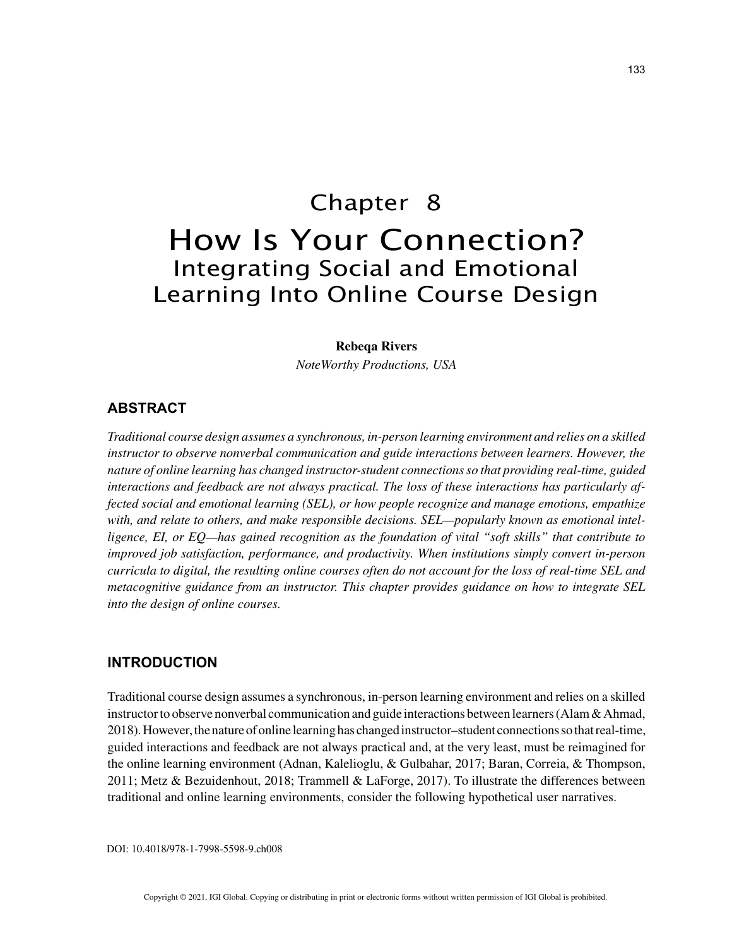# Chapter 8 How Is Your Connection? Integrating Social and Emotional Learning Into Online Course Design

#### **Rebeqa Rivers**

*NoteWorthy Productions, USA*

# **ABSTRACT**

*Traditional course design assumes a synchronous, in-person learning environment and relies on a skilled instructor to observe nonverbal communication and guide interactions between learners. However, the nature of online learning has changed instructor-student connections so that providing real-time, guided interactions and feedback are not always practical. The loss of these interactions has particularly affected social and emotional learning (SEL), or how people recognize and manage emotions, empathize with, and relate to others, and make responsible decisions. SEL—popularly known as emotional intelligence, EI, or EQ—has gained recognition as the foundation of vital "soft skills" that contribute to improved job satisfaction, performance, and productivity. When institutions simply convert in-person curricula to digital, the resulting online courses often do not account for the loss of real-time SEL and metacognitive guidance from an instructor. This chapter provides guidance on how to integrate SEL into the design of online courses.*

# **INTRODUCTION**

Traditional course design assumes a synchronous, in-person learning environment and relies on a skilled instructor to observe nonverbal communication and guide interactions between learners (Alam & Ahmad, 2018). However, the nature of online learning has changed instructor–student connections so that real-time, guided interactions and feedback are not always practical and, at the very least, must be reimagined for the online learning environment (Adnan, Kalelioglu, & Gulbahar, 2017; Baran, Correia, & Thompson, 2011; Metz & Bezuidenhout, 2018; Trammell & LaForge, 2017). To illustrate the differences between traditional and online learning environments, consider the following hypothetical user narratives.

DOI: 10.4018/978-1-7998-5598-9.ch008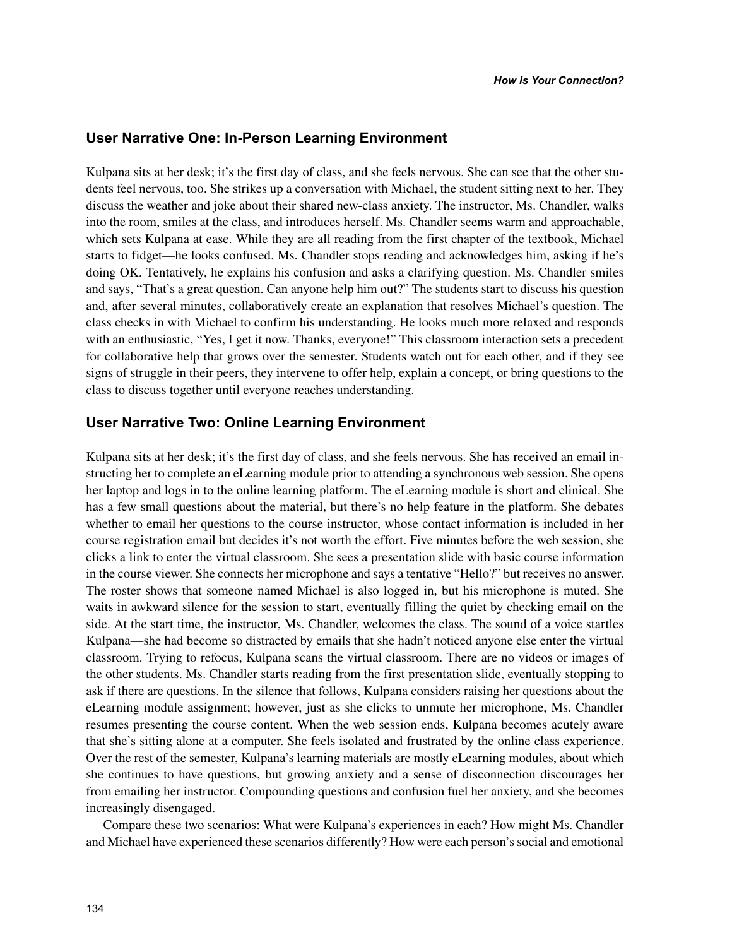# **User Narrative One: In-Person Learning Environment**

Kulpana sits at her desk; it's the first day of class, and she feels nervous. She can see that the other students feel nervous, too. She strikes up a conversation with Michael, the student sitting next to her. They discuss the weather and joke about their shared new-class anxiety. The instructor, Ms. Chandler, walks into the room, smiles at the class, and introduces herself. Ms. Chandler seems warm and approachable, which sets Kulpana at ease. While they are all reading from the first chapter of the textbook, Michael starts to fidget—he looks confused. Ms. Chandler stops reading and acknowledges him, asking if he's doing OK. Tentatively, he explains his confusion and asks a clarifying question. Ms. Chandler smiles and says, "That's a great question. Can anyone help him out?" The students start to discuss his question and, after several minutes, collaboratively create an explanation that resolves Michael's question. The class checks in with Michael to confirm his understanding. He looks much more relaxed and responds with an enthusiastic, "Yes, I get it now. Thanks, everyone!" This classroom interaction sets a precedent for collaborative help that grows over the semester. Students watch out for each other, and if they see signs of struggle in their peers, they intervene to offer help, explain a concept, or bring questions to the class to discuss together until everyone reaches understanding.

# **User Narrative Two: Online Learning Environment**

Kulpana sits at her desk; it's the first day of class, and she feels nervous. She has received an email instructing her to complete an eLearning module prior to attending a synchronous web session. She opens her laptop and logs in to the online learning platform. The eLearning module is short and clinical. She has a few small questions about the material, but there's no help feature in the platform. She debates whether to email her questions to the course instructor, whose contact information is included in her course registration email but decides it's not worth the effort. Five minutes before the web session, she clicks a link to enter the virtual classroom. She sees a presentation slide with basic course information in the course viewer. She connects her microphone and says a tentative "Hello?" but receives no answer. The roster shows that someone named Michael is also logged in, but his microphone is muted. She waits in awkward silence for the session to start, eventually filling the quiet by checking email on the side. At the start time, the instructor, Ms. Chandler, welcomes the class. The sound of a voice startles Kulpana—she had become so distracted by emails that she hadn't noticed anyone else enter the virtual classroom. Trying to refocus, Kulpana scans the virtual classroom. There are no videos or images of the other students. Ms. Chandler starts reading from the first presentation slide, eventually stopping to ask if there are questions. In the silence that follows, Kulpana considers raising her questions about the eLearning module assignment; however, just as she clicks to unmute her microphone, Ms. Chandler resumes presenting the course content. When the web session ends, Kulpana becomes acutely aware that she's sitting alone at a computer. She feels isolated and frustrated by the online class experience. Over the rest of the semester, Kulpana's learning materials are mostly eLearning modules, about which she continues to have questions, but growing anxiety and a sense of disconnection discourages her from emailing her instructor. Compounding questions and confusion fuel her anxiety, and she becomes increasingly disengaged.

Compare these two scenarios: What were Kulpana's experiences in each? How might Ms. Chandler and Michael have experienced these scenarios differently? How were each person's social and emotional